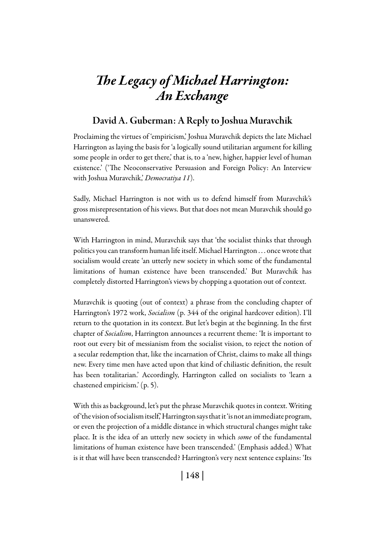# *The Legacy of Michael Harrington: An Exchange*

## David A. Guberman: A Reply to Joshua Muravchik

Proclaiming the virtues of 'empiricism,' Joshua Muravchik depicts the late Michael Harrington as laying the basis for 'a logically sound utilitarian argument for killing some people in order to get there,' that is, to a 'new, higher, happier level of human existence.' ('The Neoconservative Persuasion and Foreign Policy: An Interview with Joshua Muravchik,' *Democratiya 11*).

Sadly, Michael Harrington is not with us to defend himself from Muravchik's gross misrepresentation of his views. But that does not mean Muravchik should go unanswered.

With Harrington in mind, Muravchik says that 'the socialist thinks that through politics you can transform human life itself. Michael Harrington . . . once wrote that socialism would create 'an utterly new society in which some of the fundamental limitations of human existence have been transcended.' But Muravchik has completely distorted Harrington's views by chopping a quotation out of context.

Muravchik is quoting (out of context) a phrase from the concluding chapter of Harrington's 1972 work, *Socialism* (p. 344 of the original hardcover edition). I'll return to the quotation in its context. But let's begin at the beginning. In the first chapter of *Socialism*, Harrington announces a recurrent theme: 'It is important to root out every bit of messianism from the socialist vision, to reject the notion of a secular redemption that, like the incarnation of Christ, claims to make all things new. Every time men have acted upon that kind of chiliastic definition, the result has been totalitarian.' Accordingly, Harrington called on socialists to 'learn a chastened empiricism.' (p. 5).

With this as background, let's put the phrase Muravchik quotes in context. Writing of 'the vision of socialism itself,' Harrington says that it 'is not an immediate program, or even the projection of a middle distance in which structural changes might take place. It is the idea of an utterly new society in which *some* of the fundamental limitations of human existence have been transcended.' (Emphasis added.) What is it that will have been transcended? Harrington's very next sentence explains: 'Its

| 148 |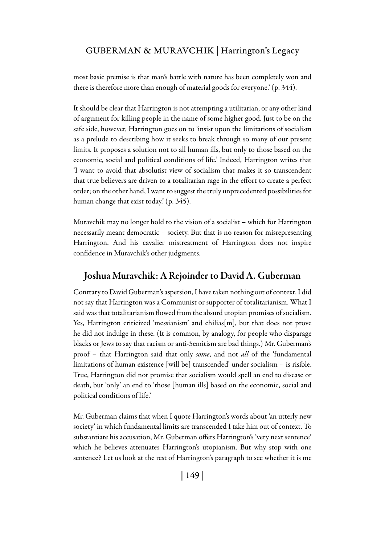#### GUBERMAN & MURAVCHIK | Harrington's Legacy

most basic premise is that man's battle with nature has been completely won and there is therefore more than enough of material goods for everyone.' (p. 344).

It should be clear that Harrington is not attempting a utilitarian, or any other kind of argument for killing people in the name of some higher good. Just to be on the safe side, however, Harrington goes on to 'insist upon the limitations of socialism as a prelude to describing how it seeks to break through so many of our present limits. It proposes a solution not to all human ills, but only to those based on the economic, social and political conditions of life.' Indeed, Harrington writes that 'I want to avoid that absolutist view of socialism that makes it so transcendent that true believers are driven to a totalitarian rage in the effort to create a perfect order; on the other hand, I want to suggest the truly unprecedented possibilities for human change that exist today.' (p. 345).

Muravchik may no longer hold to the vision of a socialist – which for Harrington necessarily meant democratic – society. But that is no reason for misrepresenting Harrington. And his cavalier mistreatment of Harrington does not inspire confidence in Muravchik's other judgments.

#### Joshua Muravchik: A Rejoinder to David A. Guberman

Contrary to David Guberman's aspersion, I have taken nothing out of context. I did not say that Harrington was a Communist or supporter of totalitarianism. What I said was that totalitarianism flowed from the absurd utopian promises of socialism. Yes, Harrington criticized 'messianism' and chilias[m], but that does not prove he did not indulge in these. (It is common, by analogy, for people who disparage blacks or Jews to say that racism or anti-Semitism are bad things.) Mr. Guberman's proof – that Harrington said that only *some*, and not *all* of the 'fundamental limitations of human existence [will be] transcended' under socialism – is risible. True, Harrington did not promise that socialism would spell an end to disease or death, but 'only' an end to 'those [human ills] based on the economic, social and political conditions of life.'

Mr. Guberman claims that when I quote Harrington's words about 'an utterly new society' in which fundamental limits are transcended I take him out of context. To substantiate his accusation, Mr. Guberman offers Harrington's 'very next sentence' which he believes attenuates Harrington's utopianism. But why stop with one sentence? Let us look at the rest of Harrington's paragraph to see whether it is me

| 149 |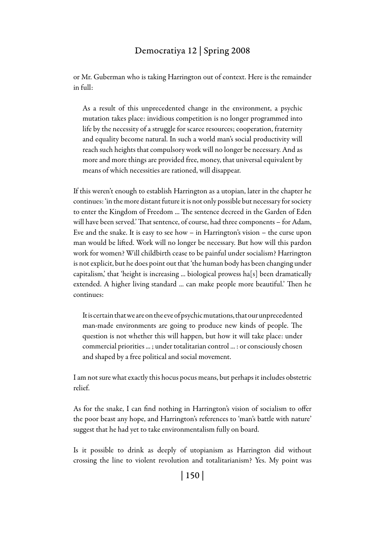### Democratiya 12 | Spring 2008

or Mr. Guberman who is taking Harrington out of context. Here is the remainder in full:

As a result of this unprecedented change in the environment, a psychic mutation takes place: invidious competition is no longer programmed into life by the necessity of a struggle for scarce resources; cooperation, fraternity and equality become natural. In such a world man's social productivity will reach such heights that compulsory work will no longer be necessary. And as more and more things are provided free, money, that universal equivalent by means of which necessities are rationed, will disappear.

If this weren't enough to establish Harrington as a utopian, later in the chapter he continues: 'in the more distant future it is not only possible but necessary for society to enter the Kingdom of Freedom ... The sentence decreed in the Garden of Eden will have been served.' That sentence, of course, had three components – for Adam, Eve and the snake. It is easy to see how – in Harrington's vision – the curse upon man would be lifted. Work will no longer be necessary. But how will this pardon work for women? Will childbirth cease to be painful under socialism? Harrington is not explicit, but he does point out that 'the human body has been changing under capitalism,' that 'height is increasing ... biological prowess ha[s] been dramatically extended. A higher living standard ... can make people more beautiful.' Then he continues:

It is certain that we are on the eve of psychic mutations, that our unprecedented man-made environments are going to produce new kinds of people. The question is not whether this will happen, but how it will take place: under commercial priorities ... ; under totalitarian control ... : or consciously chosen and shaped by a free political and social movement.

I am not sure what exactly this hocus pocus means, but perhaps it includes obstetric relief.

As for the snake, I can find nothing in Harrington's vision of socialism to offer the poor beast any hope, and Harrington's references to 'man's battle with nature' suggest that he had yet to take environmentalism fully on board.

Is it possible to drink as deeply of utopianism as Harrington did without crossing the line to violent revolution and totalitarianism? Yes. My point was

| 150 |